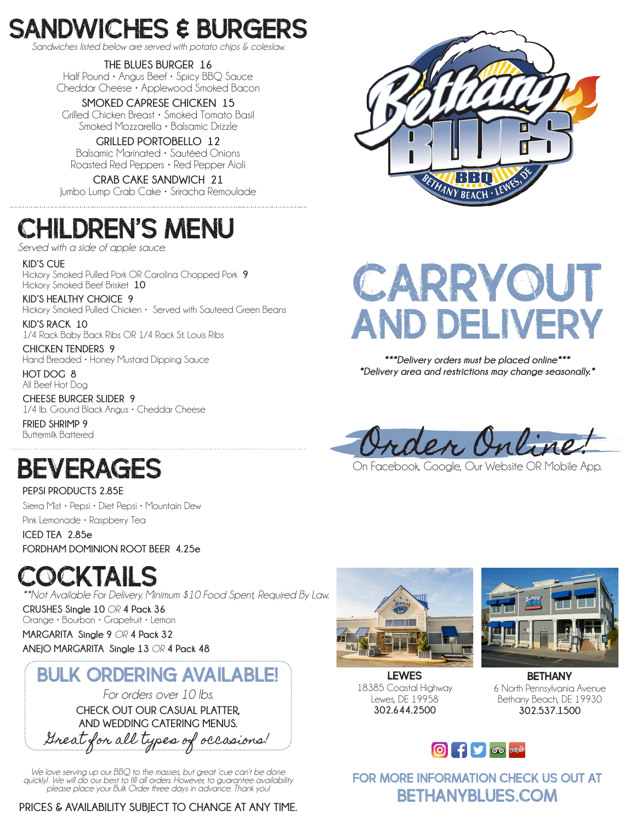## SANDWICHES & BURGERS

*Sandwiches listed below are served with potato chips & coleslaw.*

**THE BLUES BURGER 16** Half Pound • Angus Beef • Spicy BBQ Sauce Cheddar Cheese • Applewood Smoked Bacon

**SMOKED CAPRESE CHICKEN 15** Grilled Chicken Breast • Smoked Tomato Basil Smoked Mozzarella • Balsamic Drizzle

**GRILLED PORTOBELLO 12** Balsamic Marinated • Sautéed Onions Roasted Red Peppers • Red Pepper Aioli

**CRAB CAKE SANDWICH 21** Jumbo Lump Crab Cake • Sriracha Remoulade

### children's menu

*Served with a side of apple sauce.*

**KID'S CUE** Hickory Smoked Pulled Pork OR Carolina Chopped Pork **9** Hickory Smoked Beef Brisket **10**

**KID'S HEALTHY CHOICE 9** Hickory Smoked Pulled Chicken • Served with Sauteed Green Beans

**KID'S RACK 10** 1/4 Rack Baby Back Ribs OR 1/4 Rack St. Louis Ribs

**CHICKEN TENDERS 9** Hand Breaded • Honey Mustard Dipping Sauce

**HOT DOG 8** All Beef Hot Dog

**CHEESE BURGER SLIDER 9** 1/4 lb. Ground Black Angus • Cheddar Cheese

**FRIED SHRIMP 9** Buttermilk Battered

### BEVERAGES

**PEPSI PRODUCTS 2.85E** Sierra Mist • Pepsi • Diet Pepsi • Mountain Dew Pink Lemonade • Raspberry Tea

**ICED TEA 2.85e FORDHAM DOMINION ROOT BEER 4.25e**

### COCKTAILS

*\*\*Not Available For Delivery. Minimum \$10 Food Spent, Required By Law.*

**CRUSHES Single 10** *OR* **4 Pack 36** Orange • Bourbon • Grapefruit • Lemon

**MARGARITA Single 9** *OR* **4 Pack 32 ANEJO MARGARITA Single 13** *OR* **4 Pack 48**

### **BULK ORDERING AVAILABLE!**

*For orders over 10 lbs.* **CHECK OUT OUR CASUAL PLATTER, AND WEDDING CATERING MENUS.**

Great for all types of occasions!

*We love serving up our BBQ to the masses, but great 'cue can't be done quickly! We will do our best to fill all orders. However, to guarantee availability please place your Bulk Order three days in advance. Thank you!*

**PRICES & AVAILABILITY SUBJECT TO CHANGE AT ANY TIME.**



# **CARRYOUT** and delivery

*\*\*\*Delivery orders must be placed online\*\*\* \*Delivery area and restrictions may change seasonally.\**

Order Online.<br>On Facebook, Google, Our Website OR Mobile App.



LEWES 18385 Coastal Highway Lewes, DE 19958 **302.644.2500**



BETHANY 6 North Pennsylvania Avenue Bethany Beach, DE 19930 **302.537.1500**



For More Information check us out at bethanyblues.com